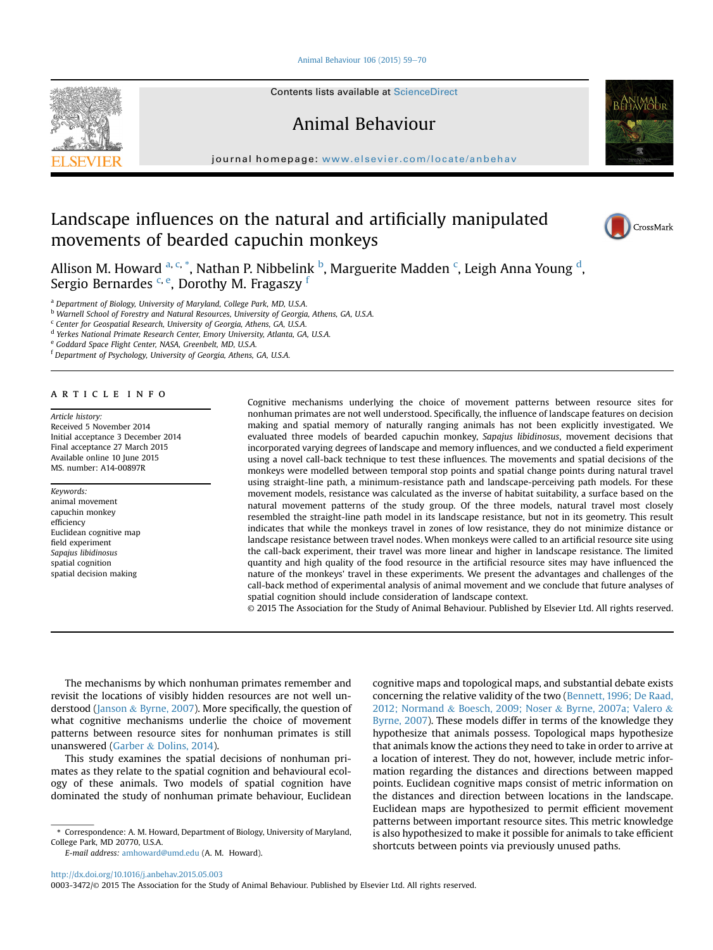#### [Animal Behaviour 106 \(2015\) 59](http://dx.doi.org/10.1016/j.anbehav.2015.05.003)-[70](http://dx.doi.org/10.1016/j.anbehav.2015.05.003)



Contents lists available at ScienceDirect

## Animal Behaviour

journal homepage: [www.elsevier.com/locate/anbehav](http://www.elsevier.com/locate/anbehav)

# Landscape influences on the natural and artificially manipulated movements of bearded capuchin monkeys





Allison M. Howard <sup>a, c,</sup> \*, Nathan P. Nibbelink <sup>b</sup>, Marguerite Madden <sup>c</sup>, Leigh Anna Young <sup>d</sup>, Sergio Bernardes <sup>c, e</sup>, Dorothy M. Fragaszy <sup>f</sup>

<sup>a</sup> Department of Biology, University of Maryland, College Park, MD, U.S.A.

**b Warnell School of Forestry and Natural Resources, University of Georgia, Athens, GA, U.S.A.** 

<sup>c</sup> Center for Geospatial Research, University of Georgia, Athens, GA, U.S.A.

<sup>d</sup> Yerkes National Primate Research Center, Emory University, Atlanta, GA, U.S.A.

<sup>e</sup> Goddard Space Flight Center, NASA, Greenbelt, MD, U.S.A.

<sup>f</sup> Department of Psychology, University of Georgia, Athens, GA, U.S.A.

#### article info

Article history: Received 5 November 2014 Initial acceptance 3 December 2014 Final acceptance 27 March 2015 Available online 10 June 2015 MS. number: A14-00897R

#### Keywords:

animal movement capuchin monkey efficiency Euclidean cognitive map field experiment Sapajus libidinosus spatial cognition spatial decision making

Cognitive mechanisms underlying the choice of movement patterns between resource sites for nonhuman primates are not well understood. Specifically, the influence of landscape features on decision making and spatial memory of naturally ranging animals has not been explicitly investigated. We evaluated three models of bearded capuchin monkey, Sapajus libidinosus, movement decisions that incorporated varying degrees of landscape and memory influences, and we conducted a field experiment using a novel call-back technique to test these influences. The movements and spatial decisions of the monkeys were modelled between temporal stop points and spatial change points during natural travel using straight-line path, a minimum-resistance path and landscape-perceiving path models. For these movement models, resistance was calculated as the inverse of habitat suitability, a surface based on the natural movement patterns of the study group. Of the three models, natural travel most closely resembled the straight-line path model in its landscape resistance, but not in its geometry. This result indicates that while the monkeys travel in zones of low resistance, they do not minimize distance or landscape resistance between travel nodes. When monkeys were called to an artificial resource site using the call-back experiment, their travel was more linear and higher in landscape resistance. The limited quantity and high quality of the food resource in the artificial resource sites may have influenced the nature of the monkeys' travel in these experiments. We present the advantages and challenges of the call-back method of experimental analysis of animal movement and we conclude that future analyses of spatial cognition should include consideration of landscape context.

© 2015 The Association for the Study of Animal Behaviour. Published by Elsevier Ltd. All rights reserved.

The mechanisms by which nonhuman primates remember and revisit the locations of visibly hidden resources are not well understood [\(Janson](#page-11-0) & [Byrne, 2007](#page-11-0)). More specifically, the question of what cognitive mechanisms underlie the choice of movement patterns between resource sites for nonhuman primates is still unanswered ([Garber](#page-11-0) & [Dolins, 2014](#page-11-0)).

This study examines the spatial decisions of nonhuman primates as they relate to the spatial cognition and behavioural ecology of these animals. Two models of spatial cognition have dominated the study of nonhuman primate behaviour, Euclidean cognitive maps and topological maps, and substantial debate exists concerning the relative validity of the two ([Bennett, 1996; De Raad,](#page-11-0) [2012; Normand](#page-11-0) & [Boesch, 2009; Noser](#page-11-0) & [Byrne, 2007a; Valero](#page-11-0) & [Byrne, 2007](#page-11-0)). These models differ in terms of the knowledge they hypothesize that animals possess. Topological maps hypothesize that animals know the actions they need to take in order to arrive at a location of interest. They do not, however, include metric information regarding the distances and directions between mapped points. Euclidean cognitive maps consist of metric information on the distances and direction between locations in the landscape. Euclidean maps are hypothesized to permit efficient movement patterns between important resource sites. This metric knowledge is also hypothesized to make it possible for animals to take efficient shortcuts between points via previously unused paths.

<sup>\*</sup> Correspondence: A. M. Howard, Department of Biology, University of Maryland, College Park, MD 20770, U.S.A.

E-mail address: [amhoward@umd.edu](mailto:amhoward@umd.edu) (A. M. Howard).

<http://dx.doi.org/10.1016/j.anbehav.2015.05.003>

<sup>0003-3472/</sup>© 2015 The Association for the Study of Animal Behaviour. Published by Elsevier Ltd. All rights reserved.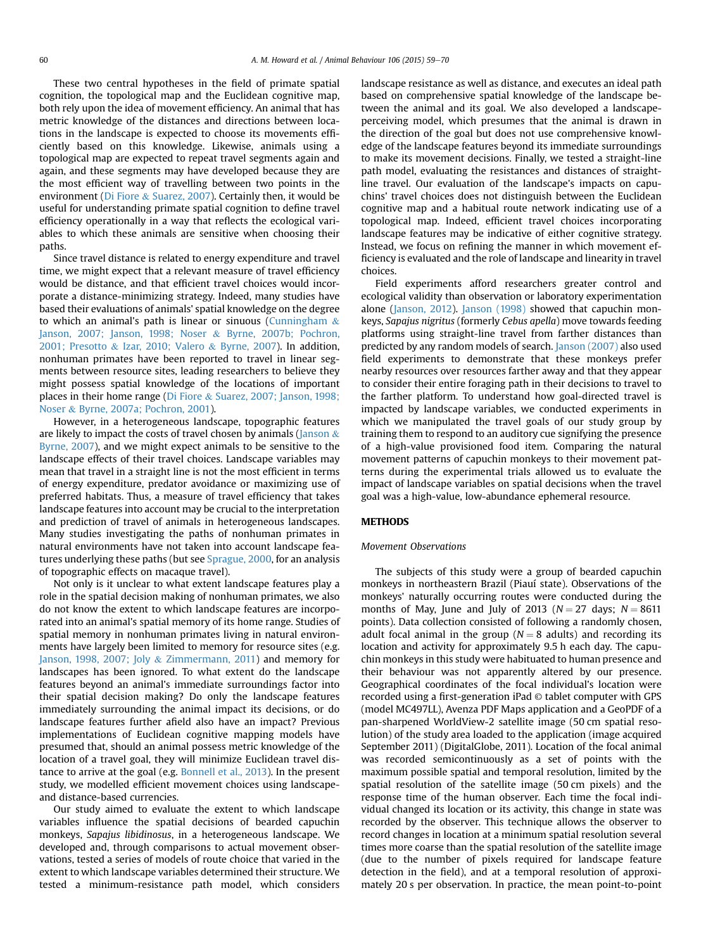These two central hypotheses in the field of primate spatial cognition, the topological map and the Euclidean cognitive map, both rely upon the idea of movement efficiency. An animal that has metric knowledge of the distances and directions between locations in the landscape is expected to choose its movements efficiently based on this knowledge. Likewise, animals using a topological map are expected to repeat travel segments again and again, and these segments may have developed because they are the most efficient way of travelling between two points in the environment [\(Di Fiore](#page-11-0) & [Suarez, 2007\)](#page-11-0). Certainly then, it would be useful for understanding primate spatial cognition to define travel efficiency operationally in a way that reflects the ecological variables to which these animals are sensitive when choosing their paths.

Since travel distance is related to energy expenditure and travel time, we might expect that a relevant measure of travel efficiency would be distance, and that efficient travel choices would incorporate a distance-minimizing strategy. Indeed, many studies have based their evaluations of animals' spatial knowledge on the degree to which an animal's path is linear or sinuous ([Cunningham](#page-11-0)  $\&$ [Janson, 2007; Janson, 1998; Noser](#page-11-0) & [Byrne, 2007b; Pochron,](#page-11-0) [2001; Presotto](#page-11-0) & [Izar, 2010; Valero](#page-11-0) & [Byrne, 2007\)](#page-11-0). In addition, nonhuman primates have been reported to travel in linear segments between resource sites, leading researchers to believe they might possess spatial knowledge of the locations of important places in their home range [\(Di Fiore](#page-11-0) & [Suarez, 2007; Janson, 1998;](#page-11-0) [Noser](#page-11-0) & [Byrne, 2007a; Pochron, 2001\)](#page-11-0).

However, in a heterogeneous landscape, topographic features are likely to impact the costs of travel chosen by animals [\(Janson](#page-11-0)  $\&$ [Byrne, 2007\)](#page-11-0), and we might expect animals to be sensitive to the landscape effects of their travel choices. Landscape variables may mean that travel in a straight line is not the most efficient in terms of energy expenditure, predator avoidance or maximizing use of preferred habitats. Thus, a measure of travel efficiency that takes landscape features into account may be crucial to the interpretation and prediction of travel of animals in heterogeneous landscapes. Many studies investigating the paths of nonhuman primates in natural environments have not taken into account landscape features underlying these paths (but see [Sprague, 2000,](#page-11-0) for an analysis of topographic effects on macaque travel).

Not only is it unclear to what extent landscape features play a role in the spatial decision making of nonhuman primates, we also do not know the extent to which landscape features are incorporated into an animal's spatial memory of its home range. Studies of spatial memory in nonhuman primates living in natural environments have largely been limited to memory for resource sites (e.g. [Janson, 1998, 2007; Joly](#page-11-0) & [Zimmermann, 2011\)](#page-11-0) and memory for landscapes has been ignored. To what extent do the landscape features beyond an animal's immediate surroundings factor into their spatial decision making? Do only the landscape features immediately surrounding the animal impact its decisions, or do landscape features further afield also have an impact? Previous implementations of Euclidean cognitive mapping models have presumed that, should an animal possess metric knowledge of the location of a travel goal, they will minimize Euclidean travel distance to arrive at the goal (e.g. [Bonnell et al., 2013](#page-11-0)). In the present study, we modelled efficient movement choices using landscapeand distance-based currencies.

Our study aimed to evaluate the extent to which landscape variables influence the spatial decisions of bearded capuchin monkeys, Sapajus libidinosus, in a heterogeneous landscape. We developed and, through comparisons to actual movement observations, tested a series of models of route choice that varied in the extent to which landscape variables determined their structure. We tested a minimum-resistance path model, which considers landscape resistance as well as distance, and executes an ideal path based on comprehensive spatial knowledge of the landscape between the animal and its goal. We also developed a landscapeperceiving model, which presumes that the animal is drawn in the direction of the goal but does not use comprehensive knowledge of the landscape features beyond its immediate surroundings to make its movement decisions. Finally, we tested a straight-line path model, evaluating the resistances and distances of straightline travel. Our evaluation of the landscape's impacts on capuchins' travel choices does not distinguish between the Euclidean cognitive map and a habitual route network indicating use of a topological map. Indeed, efficient travel choices incorporating landscape features may be indicative of either cognitive strategy. Instead, we focus on refining the manner in which movement efficiency is evaluated and the role of landscape and linearity in travel choices.

Field experiments afford researchers greater control and ecological validity than observation or laboratory experimentation alone ([Janson, 2012\)](#page-11-0). [Janson \(1998\)](#page-11-0) showed that capuchin monkeys, Sapajus nigritus (formerly Cebus apella) move towards feeding platforms using straight-line travel from farther distances than predicted by any random models of search. [Janson \(2007\)](#page-11-0) also used field experiments to demonstrate that these monkeys prefer nearby resources over resources farther away and that they appear to consider their entire foraging path in their decisions to travel to the farther platform. To understand how goal-directed travel is impacted by landscape variables, we conducted experiments in which we manipulated the travel goals of our study group by training them to respond to an auditory cue signifying the presence of a high-value provisioned food item. Comparing the natural movement patterns of capuchin monkeys to their movement patterns during the experimental trials allowed us to evaluate the impact of landscape variables on spatial decisions when the travel goal was a high-value, low-abundance ephemeral resource.

#### **METHODS**

## Movement Observations

The subjects of this study were a group of bearded capuchin monkeys in northeastern Brazil (Piauí state). Observations of the monkeys' naturally occurring routes were conducted during the months of May, June and July of 2013 ( $N = 27$  days;  $N = 8611$ points). Data collection consisted of following a randomly chosen, adult focal animal in the group ( $N = 8$  adults) and recording its location and activity for approximately 9.5 h each day. The capuchin monkeys in this study were habituated to human presence and their behaviour was not apparently altered by our presence. Geographical coordinates of the focal individual's location were recorded using a first-generation iPad © tablet computer with GPS (model MC497LL), Avenza PDF Maps application and a GeoPDF of a pan-sharpened WorldView-2 satellite image (50 cm spatial resolution) of the study area loaded to the application (image acquired September 2011) (DigitalGlobe, 2011). Location of the focal animal was recorded semicontinuously as a set of points with the maximum possible spatial and temporal resolution, limited by the spatial resolution of the satellite image (50 cm pixels) and the response time of the human observer. Each time the focal individual changed its location or its activity, this change in state was recorded by the observer. This technique allows the observer to record changes in location at a minimum spatial resolution several times more coarse than the spatial resolution of the satellite image (due to the number of pixels required for landscape feature detection in the field), and at a temporal resolution of approximately 20 s per observation. In practice, the mean point-to-point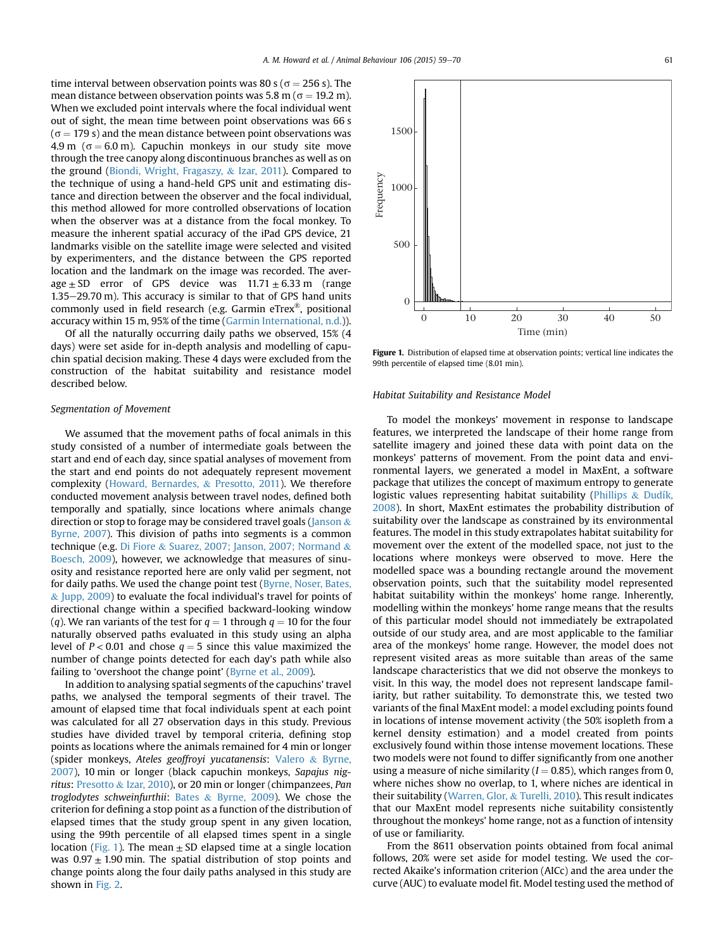time interval between observation points was 80 s ( $\sigma$  = 256 s). The mean distance between observation points was 5.8 m ( $\sigma$  = 19.2 m). When we excluded point intervals where the focal individual went out of sight, the mean time between point observations was 66 s  $(\sigma = 179 \text{ s})$  and the mean distance between point observations was 4.9 m ( $\sigma$  = 6.0 m). Capuchin monkeys in our study site move through the tree canopy along discontinuous branches as well as on the ground [\(Biondi, Wright, Fragaszy,](#page-11-0) & [Izar, 2011\)](#page-11-0). Compared to the technique of using a hand-held GPS unit and estimating distance and direction between the observer and the focal individual, this method allowed for more controlled observations of location when the observer was at a distance from the focal monkey. To measure the inherent spatial accuracy of the iPad GPS device, 21 landmarks visible on the satellite image were selected and visited by experimenters, and the distance between the GPS reported location and the landmark on the image was recorded. The average  $\pm$  SD error of GPS device was  $11.71 \pm 6.33$  m (range  $1.35-29.70$  m). This accuracy is similar to that of GPS hand units commonly used in field research (e.g. Garmin eTrex®, positional accuracy within 15 m, 95% of the time ([Garmin International, n.d.\)](#page-11-0)).

Of all the naturally occurring daily paths we observed, 15% (4 days) were set aside for in-depth analysis and modelling of capuchin spatial decision making. These 4 days were excluded from the construction of the habitat suitability and resistance model described below.

#### Segmentation of Movement

We assumed that the movement paths of focal animals in this study consisted of a number of intermediate goals between the start and end of each day, since spatial analyses of movement from the start and end points do not adequately represent movement complexity [\(Howard, Bernardes,](#page-11-0) & [Presotto, 2011](#page-11-0)). We therefore conducted movement analysis between travel nodes, defined both temporally and spatially, since locations where animals change direction or stop to forage may be considered travel goals [\(Janson](#page-11-0)  $\&$ [Byrne, 2007](#page-11-0)). This division of paths into segments is a common technique (e.g. [Di Fiore](#page-11-0) & [Suarez, 2007; Janson, 2007; Normand](#page-11-0) & [Boesch, 2009](#page-11-0)), however, we acknowledge that measures of sinuosity and resistance reported here are only valid per segment, not for daily paths. We used the change point test [\(Byrne, Noser, Bates,](#page-11-0)  $&$  [Jupp, 2009](#page-11-0)) to evaluate the focal individual's travel for points of directional change within a specified backward-looking window (*q*). We ran variants of the test for  $q = 1$  through  $q = 10$  for the four naturally observed paths evaluated in this study using an alpha level of  $P < 0.01$  and chose  $q = 5$  since this value maximized the number of change points detected for each day's path while also failing to 'overshoot the change point' [\(Byrne et al., 2009\)](#page-11-0).

In addition to analysing spatial segments of the capuchins' travel paths, we analysed the temporal segments of their travel. The amount of elapsed time that focal individuals spent at each point was calculated for all 27 observation days in this study. Previous studies have divided travel by temporal criteria, defining stop points as locations where the animals remained for 4 min or longer (spider monkeys, Ateles geoffroyi yucatanensis: [Valero](#page-11-0) & [Byrne,](#page-11-0) [2007\)](#page-11-0), 10 min or longer (black capuchin monkeys, Sapajus nigritus: [Presotto](#page-11-0) & [Izar, 2010\)](#page-11-0), or 20 min or longer (chimpanzees, Pan troglodytes schweinfurthii: [Bates](#page-10-0) & [Byrne, 2009](#page-10-0)). We chose the criterion for defining a stop point as a function of the distribution of elapsed times that the study group spent in any given location, using the 99th percentile of all elapsed times spent in a single location (Fig. 1). The mean  $\pm$  SD elapsed time at a single location was  $0.97 \pm 1.90$  min. The spatial distribution of stop points and change points along the four daily paths analysed in this study are shown in [Fig. 2](#page-3-0).

Figure 1. Distribution of elapsed time at observation points; vertical line indicates the 99th percentile of elapsed time (8.01 min).

## Habitat Suitability and Resistance Model

To model the monkeys' movement in response to landscape features, we interpreted the landscape of their home range from satellite imagery and joined these data with point data on the monkeys' patterns of movement. From the point data and environmental layers, we generated a model in MaxEnt, a software package that utilizes the concept of maximum entropy to generate logistic values representing habitat suitability [\(Phillips](#page-11-0) & [Dudík,](#page-11-0) [2008\)](#page-11-0). In short, MaxEnt estimates the probability distribution of suitability over the landscape as constrained by its environmental features. The model in this study extrapolates habitat suitability for movement over the extent of the modelled space, not just to the locations where monkeys were observed to move. Here the modelled space was a bounding rectangle around the movement observation points, such that the suitability model represented habitat suitability within the monkeys' home range. Inherently, modelling within the monkeys' home range means that the results of this particular model should not immediately be extrapolated outside of our study area, and are most applicable to the familiar area of the monkeys' home range. However, the model does not represent visited areas as more suitable than areas of the same landscape characteristics that we did not observe the monkeys to visit. In this way, the model does not represent landscape familiarity, but rather suitability. To demonstrate this, we tested two variants of the final MaxEnt model: a model excluding points found in locations of intense movement activity (the 50% isopleth from a kernel density estimation) and a model created from points exclusively found within those intense movement locations. These two models were not found to differ significantly from one another using a measure of niche similarity ( $I = 0.85$ ), which ranges from 0, where niches show no overlap, to 1, where niches are identical in their suitability [\(Warren, Glor,](#page-11-0) & [Turelli, 2010\)](#page-11-0). This result indicates that our MaxEnt model represents niche suitability consistently throughout the monkeys' home range, not as a function of intensity of use or familiarity.

From the 8611 observation points obtained from focal animal follows, 20% were set aside for model testing. We used the corrected Akaike's information criterion (AICc) and the area under the curve (AUC) to evaluate model fit. Model testing used the method of

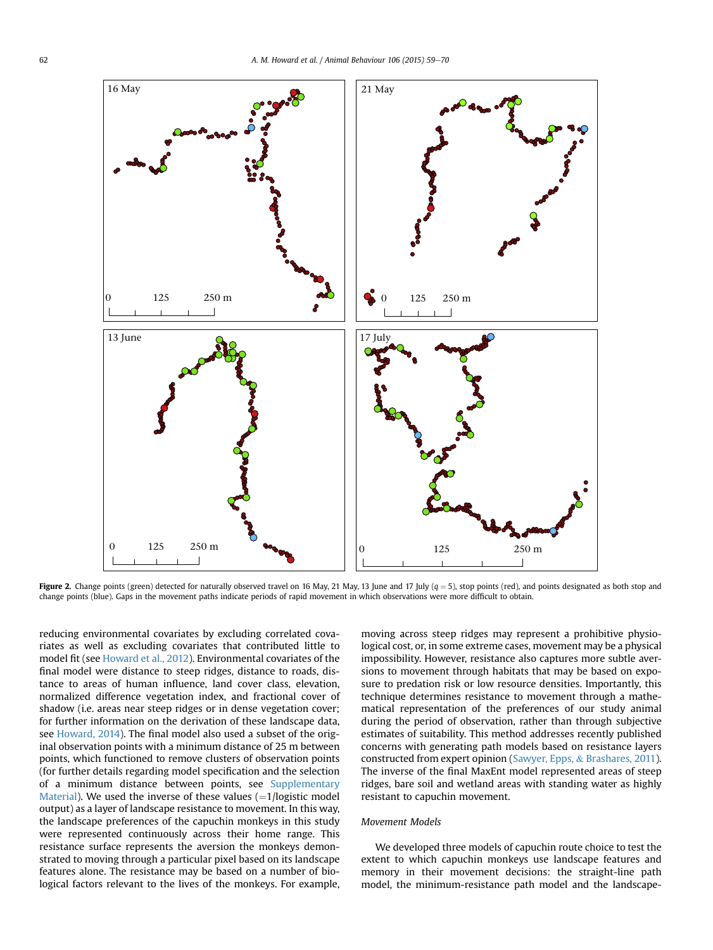<span id="page-3-0"></span>

Figure 2. Change points (green) detected for naturally observed travel on 16 May, 21 May, 13 June and 17 July ( $q = 5$ ), stop points (red), and points designated as both stop and change points (blue). Gaps in the movement paths indicate periods of rapid movement in which observations were more difficult to obtain.

reducing environmental covariates by excluding correlated covariates as well as excluding covariates that contributed little to model fit (see [Howard et al., 2012\)](#page-11-0). Environmental covariates of the final model were distance to steep ridges, distance to roads, distance to areas of human influence, land cover class, elevation, normalized difference vegetation index, and fractional cover of shadow (i.e. areas near steep ridges or in dense vegetation cover; for further information on the derivation of these landscape data, see [Howard, 2014](#page-11-0)). The final model also used a subset of the original observation points with a minimum distance of 25 m between points, which functioned to remove clusters of observation points (for further details regarding model specification and the selection of a minimum distance between points, see Supplementary Material). We used the inverse of these values  $(=1/logistic \text{ model})$ output) as a layer of landscape resistance to movement. In this way, the landscape preferences of the capuchin monkeys in this study were represented continuously across their home range. This resistance surface represents the aversion the monkeys demonstrated to moving through a particular pixel based on its landscape features alone. The resistance may be based on a number of biological factors relevant to the lives of the monkeys. For example, moving across steep ridges may represent a prohibitive physiological cost, or, in some extreme cases, movement may be a physical impossibility. However, resistance also captures more subtle aversions to movement through habitats that may be based on exposure to predation risk or low resource densities. Importantly, this technique determines resistance to movement through a mathematical representation of the preferences of our study animal during the period of observation, rather than through subjective estimates of suitability. This method addresses recently published concerns with generating path models based on resistance layers constructed from expert opinion ([Sawyer, Epps,](#page-11-0) & [Brashares, 2011\)](#page-11-0). The inverse of the final MaxEnt model represented areas of steep ridges, bare soil and wetland areas with standing water as highly resistant to capuchin movement.

## Movement Models

We developed three models of capuchin route choice to test the extent to which capuchin monkeys use landscape features and memory in their movement decisions: the straight-line path model, the minimum-resistance path model and the landscape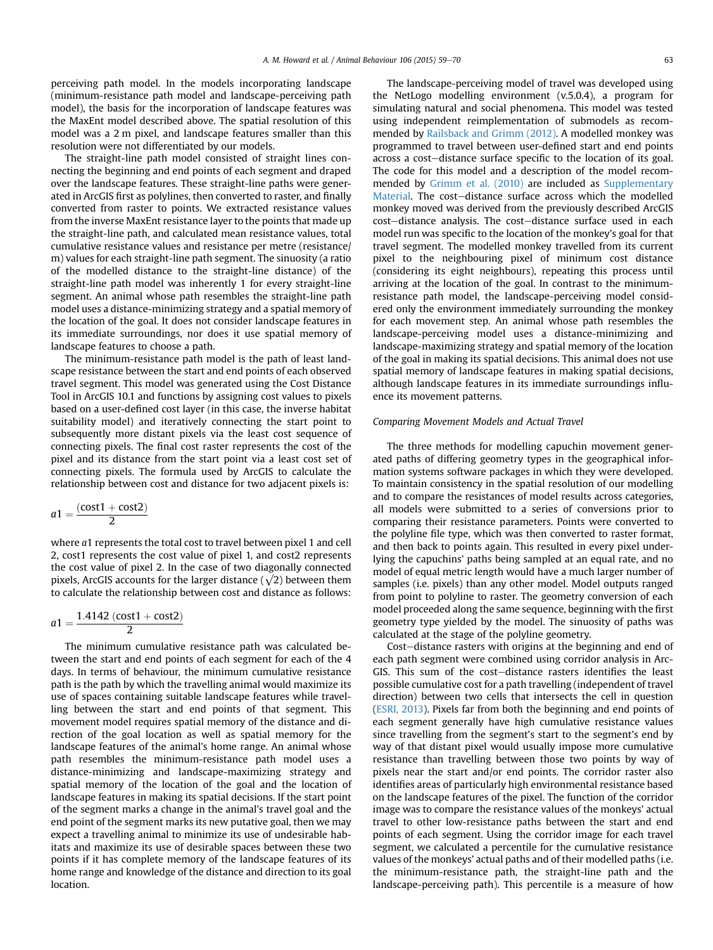perceiving path model. In the models incorporating landscape (minimum-resistance path model and landscape-perceiving path model), the basis for the incorporation of landscape features was the MaxEnt model described above. The spatial resolution of this model was a 2 m pixel, and landscape features smaller than this resolution were not differentiated by our models.

The straight-line path model consisted of straight lines connecting the beginning and end points of each segment and draped over the landscape features. These straight-line paths were generated in ArcGIS first as polylines, then converted to raster, and finally converted from raster to points. We extracted resistance values from the inverse MaxEnt resistance layer to the points that made up the straight-line path, and calculated mean resistance values, total cumulative resistance values and resistance per metre (resistance/ m) values for each straight-line path segment. The sinuosity (a ratio of the modelled distance to the straight-line distance) of the straight-line path model was inherently 1 for every straight-line segment. An animal whose path resembles the straight-line path model uses a distance-minimizing strategy and a spatial memory of the location of the goal. It does not consider landscape features in its immediate surroundings, nor does it use spatial memory of landscape features to choose a path.

The minimum-resistance path model is the path of least landscape resistance between the start and end points of each observed travel segment. This model was generated using the Cost Distance Tool in ArcGIS 10.1 and functions by assigning cost values to pixels based on a user-defined cost layer (in this case, the inverse habitat suitability model) and iteratively connecting the start point to subsequently more distant pixels via the least cost sequence of connecting pixels. The final cost raster represents the cost of the pixel and its distance from the start point via a least cost set of connecting pixels. The formula used by ArcGIS to calculate the relationship between cost and distance for two adjacent pixels is:

$$
a1 = \frac{(\text{cost1} + \text{cost2})}{2}
$$

where a1 represents the total cost to travel between pixel 1 and cell 2, cost1 represents the cost value of pixel 1, and cost2 represents the cost value of pixel 2. In the case of two diagonally connected pixels, ArcGIS accounts for the larger distance ( $\sqrt{2}$ ) between them to calculate the relationship between cost and distance as follows:

$$
a1 = \frac{1.4142 (cost1 + cost2)}{2}
$$

The minimum cumulative resistance path was calculated between the start and end points of each segment for each of the 4 days. In terms of behaviour, the minimum cumulative resistance path is the path by which the travelling animal would maximize its use of spaces containing suitable landscape features while travelling between the start and end points of that segment. This movement model requires spatial memory of the distance and direction of the goal location as well as spatial memory for the landscape features of the animal's home range. An animal whose path resembles the minimum-resistance path model uses a distance-minimizing and landscape-maximizing strategy and spatial memory of the location of the goal and the location of landscape features in making its spatial decisions. If the start point of the segment marks a change in the animal's travel goal and the end point of the segment marks its new putative goal, then we may expect a travelling animal to minimize its use of undesirable habitats and maximize its use of desirable spaces between these two points if it has complete memory of the landscape features of its home range and knowledge of the distance and direction to its goal location.

The landscape-perceiving model of travel was developed using the NetLogo modelling environment (v.5.0.4), a program for simulating natural and social phenomena. This model was tested using independent reimplementation of submodels as recommended by [Railsback and Grimm \(2012\)](#page-11-0). A modelled monkey was programmed to travel between user-defined start and end points across a cost-distance surface specific to the location of its goal. The code for this model and a description of the model recommended by [Grimm et al. \(2010\)](#page-11-0) are included as Supplementary Material. The cost-distance surface across which the modelled monkey moved was derived from the previously described ArcGIS cost-distance analysis. The cost-distance surface used in each model run was specific to the location of the monkey's goal for that travel segment. The modelled monkey travelled from its current pixel to the neighbouring pixel of minimum cost distance (considering its eight neighbours), repeating this process until arriving at the location of the goal. In contrast to the minimumresistance path model, the landscape-perceiving model considered only the environment immediately surrounding the monkey for each movement step. An animal whose path resembles the landscape-perceiving model uses a distance-minimizing and landscape-maximizing strategy and spatial memory of the location of the goal in making its spatial decisions. This animal does not use spatial memory of landscape features in making spatial decisions, although landscape features in its immediate surroundings influence its movement patterns.

## Comparing Movement Models and Actual Travel

The three methods for modelling capuchin movement generated paths of differing geometry types in the geographical information systems software packages in which they were developed. To maintain consistency in the spatial resolution of our modelling and to compare the resistances of model results across categories, all models were submitted to a series of conversions prior to comparing their resistance parameters. Points were converted to the polyline file type, which was then converted to raster format, and then back to points again. This resulted in every pixel underlying the capuchins' paths being sampled at an equal rate, and no model of equal metric length would have a much larger number of samples (i.e. pixels) than any other model. Model outputs ranged from point to polyline to raster. The geometry conversion of each model proceeded along the same sequence, beginning with the first geometry type yielded by the model. The sinuosity of paths was calculated at the stage of the polyline geometry.

Cost-distance rasters with origins at the beginning and end of each path segment were combined using corridor analysis in Arc-GIS. This sum of the cost-distance rasters identifies the least possible cumulative cost for a path travelling (independent of travel direction) between two cells that intersects the cell in question ([ESRI, 2013\)](#page-11-0). Pixels far from both the beginning and end points of each segment generally have high cumulative resistance values since travelling from the segment's start to the segment's end by way of that distant pixel would usually impose more cumulative resistance than travelling between those two points by way of pixels near the start and/or end points. The corridor raster also identifies areas of particularly high environmental resistance based on the landscape features of the pixel. The function of the corridor image was to compare the resistance values of the monkeys' actual travel to other low-resistance paths between the start and end points of each segment. Using the corridor image for each travel segment, we calculated a percentile for the cumulative resistance values of the monkeys' actual paths and of their modelled paths (i.e. the minimum-resistance path, the straight-line path and the landscape-perceiving path). This percentile is a measure of how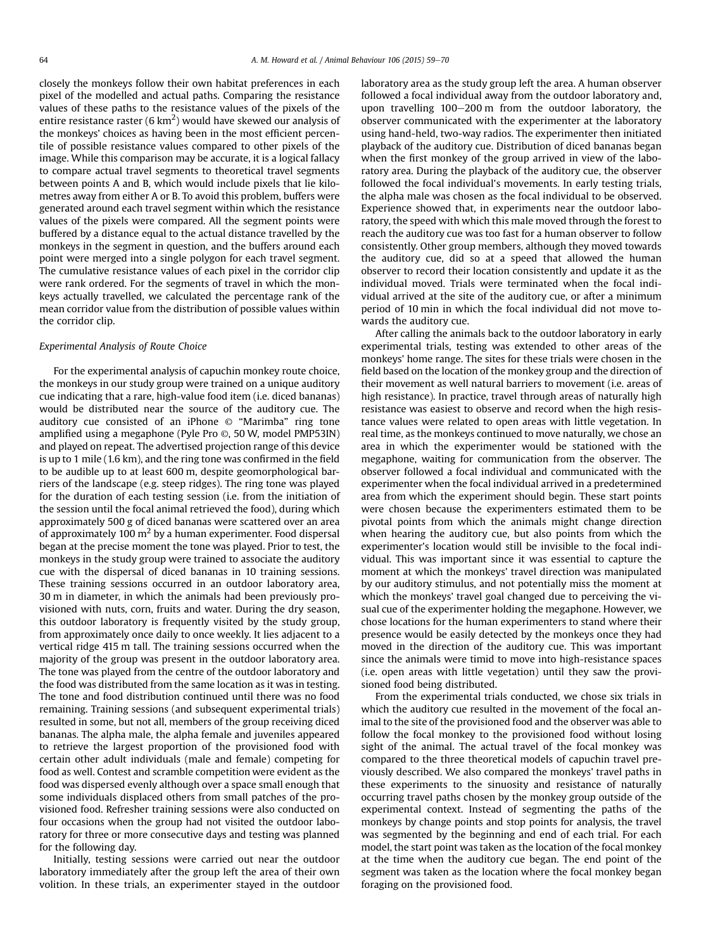closely the monkeys follow their own habitat preferences in each pixel of the modelled and actual paths. Comparing the resistance values of these paths to the resistance values of the pixels of the entire resistance raster (6 km<sup>2</sup>) would have skewed our analysis of the monkeys' choices as having been in the most efficient percentile of possible resistance values compared to other pixels of the image. While this comparison may be accurate, it is a logical fallacy to compare actual travel segments to theoretical travel segments between points A and B, which would include pixels that lie kilometres away from either A or B. To avoid this problem, buffers were generated around each travel segment within which the resistance values of the pixels were compared. All the segment points were buffered by a distance equal to the actual distance travelled by the monkeys in the segment in question, and the buffers around each point were merged into a single polygon for each travel segment. The cumulative resistance values of each pixel in the corridor clip were rank ordered. For the segments of travel in which the monkeys actually travelled, we calculated the percentage rank of the mean corridor value from the distribution of possible values within the corridor clip.

#### Experimental Analysis of Route Choice

For the experimental analysis of capuchin monkey route choice, the monkeys in our study group were trained on a unique auditory cue indicating that a rare, high-value food item (i.e. diced bananas) would be distributed near the source of the auditory cue. The auditory cue consisted of an iPhone © "Marimba" ring tone amplified using a megaphone (Pyle Pro ©, 50 W, model PMP53IN) and played on repeat. The advertised projection range of this device is up to 1 mile (1.6 km), and the ring tone was confirmed in the field to be audible up to at least 600 m, despite geomorphological barriers of the landscape (e.g. steep ridges). The ring tone was played for the duration of each testing session (i.e. from the initiation of the session until the focal animal retrieved the food), during which approximately 500 g of diced bananas were scattered over an area of approximately 100  $m<sup>2</sup>$  by a human experimenter. Food dispersal began at the precise moment the tone was played. Prior to test, the monkeys in the study group were trained to associate the auditory cue with the dispersal of diced bananas in 10 training sessions. These training sessions occurred in an outdoor laboratory area, 30 m in diameter, in which the animals had been previously provisioned with nuts, corn, fruits and water. During the dry season, this outdoor laboratory is frequently visited by the study group, from approximately once daily to once weekly. It lies adjacent to a vertical ridge 415 m tall. The training sessions occurred when the majority of the group was present in the outdoor laboratory area. The tone was played from the centre of the outdoor laboratory and the food was distributed from the same location as it was in testing. The tone and food distribution continued until there was no food remaining. Training sessions (and subsequent experimental trials) resulted in some, but not all, members of the group receiving diced bananas. The alpha male, the alpha female and juveniles appeared to retrieve the largest proportion of the provisioned food with certain other adult individuals (male and female) competing for food as well. Contest and scramble competition were evident as the food was dispersed evenly although over a space small enough that some individuals displaced others from small patches of the provisioned food. Refresher training sessions were also conducted on four occasions when the group had not visited the outdoor laboratory for three or more consecutive days and testing was planned for the following day.

Initially, testing sessions were carried out near the outdoor laboratory immediately after the group left the area of their own volition. In these trials, an experimenter stayed in the outdoor laboratory area as the study group left the area. A human observer followed a focal individual away from the outdoor laboratory and, upon travelling  $100-200$  m from the outdoor laboratory, the observer communicated with the experimenter at the laboratory using hand-held, two-way radios. The experimenter then initiated playback of the auditory cue. Distribution of diced bananas began when the first monkey of the group arrived in view of the laboratory area. During the playback of the auditory cue, the observer followed the focal individual's movements. In early testing trials, the alpha male was chosen as the focal individual to be observed. Experience showed that, in experiments near the outdoor laboratory, the speed with which this male moved through the forest to reach the auditory cue was too fast for a human observer to follow consistently. Other group members, although they moved towards the auditory cue, did so at a speed that allowed the human observer to record their location consistently and update it as the individual moved. Trials were terminated when the focal individual arrived at the site of the auditory cue, or after a minimum period of 10 min in which the focal individual did not move towards the auditory cue.

After calling the animals back to the outdoor laboratory in early experimental trials, testing was extended to other areas of the monkeys' home range. The sites for these trials were chosen in the field based on the location of the monkey group and the direction of their movement as well natural barriers to movement (i.e. areas of high resistance). In practice, travel through areas of naturally high resistance was easiest to observe and record when the high resistance values were related to open areas with little vegetation. In real time, as the monkeys continued to move naturally, we chose an area in which the experimenter would be stationed with the megaphone, waiting for communication from the observer. The observer followed a focal individual and communicated with the experimenter when the focal individual arrived in a predetermined area from which the experiment should begin. These start points were chosen because the experimenters estimated them to be pivotal points from which the animals might change direction when hearing the auditory cue, but also points from which the experimenter's location would still be invisible to the focal individual. This was important since it was essential to capture the moment at which the monkeys' travel direction was manipulated by our auditory stimulus, and not potentially miss the moment at which the monkeys' travel goal changed due to perceiving the visual cue of the experimenter holding the megaphone. However, we chose locations for the human experimenters to stand where their presence would be easily detected by the monkeys once they had moved in the direction of the auditory cue. This was important since the animals were timid to move into high-resistance spaces (i.e. open areas with little vegetation) until they saw the provisioned food being distributed.

From the experimental trials conducted, we chose six trials in which the auditory cue resulted in the movement of the focal animal to the site of the provisioned food and the observer was able to follow the focal monkey to the provisioned food without losing sight of the animal. The actual travel of the focal monkey was compared to the three theoretical models of capuchin travel previously described. We also compared the monkeys' travel paths in these experiments to the sinuosity and resistance of naturally occurring travel paths chosen by the monkey group outside of the experimental context. Instead of segmenting the paths of the monkeys by change points and stop points for analysis, the travel was segmented by the beginning and end of each trial. For each model, the start point was taken as the location of the focal monkey at the time when the auditory cue began. The end point of the segment was taken as the location where the focal monkey began foraging on the provisioned food.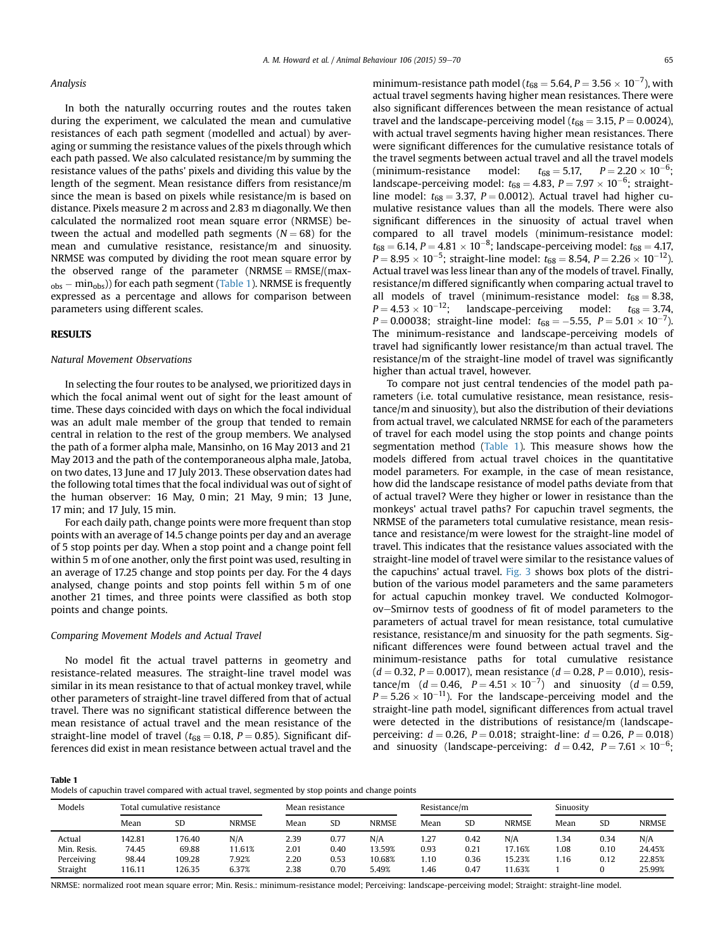In both the naturally occurring routes and the routes taken during the experiment, we calculated the mean and cumulative resistances of each path segment (modelled and actual) by averaging or summing the resistance values of the pixels through which each path passed. We also calculated resistance/m by summing the resistance values of the paths' pixels and dividing this value by the length of the segment. Mean resistance differs from resistance/m since the mean is based on pixels while resistance/m is based on distance. Pixels measure 2 m across and 2.83 m diagonally. We then calculated the normalized root mean square error (NRMSE) between the actual and modelled path segments ( $N = 68$ ) for the mean and cumulative resistance, resistance/m and sinuosity. NRMSE was computed by dividing the root mean square error by the observed range of the parameter (NRMSE  $=$  RMSE/(max- $_{\rm obs}$  – min $_{\rm obs}$ )) for each path segment (Table 1). NRMSE is frequently expressed as a percentage and allows for comparison between parameters using different scales.

## RESULTS

#### Natural Movement Observations

In selecting the four routes to be analysed, we prioritized days in which the focal animal went out of sight for the least amount of time. These days coincided with days on which the focal individual was an adult male member of the group that tended to remain central in relation to the rest of the group members. We analysed the path of a former alpha male, Mansinho, on 16 May 2013 and 21 May 2013 and the path of the contemporaneous alpha male, Jatoba, on two dates, 13 June and 17 July 2013. These observation dates had the following total times that the focal individual was out of sight of the human observer: 16 May, 0 min; 21 May, 9 min; 13 June, 17 min; and 17 July, 15 min.

For each daily path, change points were more frequent than stop points with an average of 14.5 change points per day and an average of 5 stop points per day. When a stop point and a change point fell within 5 m of one another, only the first point was used, resulting in an average of 17.25 change and stop points per day. For the 4 days analysed, change points and stop points fell within 5 m of one another 21 times, and three points were classified as both stop points and change points.

### Comparing Movement Models and Actual Travel

No model fit the actual travel patterns in geometry and resistance-related measures. The straight-line travel model was similar in its mean resistance to that of actual monkey travel, while other parameters of straight-line travel differed from that of actual travel. There was no significant statistical difference between the mean resistance of actual travel and the mean resistance of the straight-line model of travel ( $t_{68} = 0.18$ ,  $P = 0.85$ ). Significant differences did exist in mean resistance between actual travel and the

minimum-resistance path model ( $t_{68} = 5.64$ ,  $P = 3.56 \times 10^{-7}$ ), with actual travel segments having higher mean resistances. There were also significant differences between the mean resistance of actual travel and the landscape-perceiving model ( $t_{68} = 3.15$ ,  $P = 0.0024$ ), with actual travel segments having higher mean resistances. There were significant differences for the cumulative resistance totals of the travel segments between actual travel and all the travel models<br>(minimum-resistance model:  $t_{68} = 5.17$ ,  $P = 2.20 \times 10^{-6}$ ; (minimum-resistance model:  $t_{68} = 5.17$ ,  $P = 2.20 \times 10^{-7}$ 6 ; landscape-perceiving model:  $t_{68} = 4.83$ ,  $P = 7.97 \times 10^{-6}$ ; straightline model:  $t_{68} = 3.37$ ,  $P = 0.0012$ ). Actual travel had higher cumulative resistance values than all the models. There were also significant differences in the sinuosity of actual travel when compared to all travel models (minimum-resistance model:  $t_{68} = 6.14, P = 4.81 \times 10^{-8}$ ; landscape-perceiving model:  $t_{68} = 4.17$ ,  $P = 8.95 \times 10^{-5}$ ; straight-line model:  $t_{68} = 8.54$ ,  $P = 2.26 \times 10^{-12}$ ). Actual travel was less linear than any of the models of travel. Finally, resistance/m differed significantly when comparing actual travel to all models of travel (minimum-resistance model:  $t_{68} = 8.38$ ,<br> $P = 4.53 \times 10^{-12}$ ; landscape-perceiving model:  $t_{68} = 3.74$ ,  $P = 4.53 \times 10^{-12}$ ; landscape-perceiving  $P = 0.00038$ ; straight-line model:  $t_{68} = -5.55$ ,  $P = 5.01 \times 10^{-7}$ ). The minimum-resistance and landscape-perceiving models of travel had significantly lower resistance/m than actual travel. The resistance/m of the straight-line model of travel was significantly higher than actual travel, however.

To compare not just central tendencies of the model path parameters (i.e. total cumulative resistance, mean resistance, resistance/m and sinuosity), but also the distribution of their deviations from actual travel, we calculated NRMSE for each of the parameters of travel for each model using the stop points and change points segmentation method (Table 1). This measure shows how the models differed from actual travel choices in the quantitative model parameters. For example, in the case of mean resistance, how did the landscape resistance of model paths deviate from that of actual travel? Were they higher or lower in resistance than the monkeys' actual travel paths? For capuchin travel segments, the NRMSE of the parameters total cumulative resistance, mean resistance and resistance/m were lowest for the straight-line model of travel. This indicates that the resistance values associated with the straight-line model of travel were similar to the resistance values of the capuchins' actual travel. [Fig. 3](#page-7-0) shows box plots of the distribution of the various model parameters and the same parameters for actual capuchin monkey travel. We conducted Kolmogorov-Smirnov tests of goodness of fit of model parameters to the parameters of actual travel for mean resistance, total cumulative resistance, resistance/m and sinuosity for the path segments. Significant differences were found between actual travel and the minimum-resistance paths for total cumulative resistance  $(d = 0.32, P = 0.0017)$ , mean resistance  $(d = 0.28, P = 0.010)$ , resistance/m  $(d = 0.46, P = 4.51 \times 10^{-7})$  and sinuosity  $(d = 0.59, P = 4.51 \times 10^{-7})$  $P = 5.26 \times 10^{-11}$ ). For the landscape-perceiving model and the straight-line path model, significant differences from actual travel were detected in the distributions of resistance/m (landscapeperceiving:  $d = 0.26$ ,  $P = 0.018$ ; straight-line:  $d = 0.26$ ,  $P = 0.018$ ) and sinuosity (landscape-perceiving:  $d = 0.42$ ,  $P = 7.61 \times 10^{-6}$ ;

Table 1

Models of capuchin travel compared with actual travel, segmented by stop points and change points

| Models                                          | Total cumulative resistance        |                                     |                                 | Mean resistance              |                              |                                  | Resistance/m                 |                              |                                   | Sinuosity            |                           |                                   |
|-------------------------------------------------|------------------------------------|-------------------------------------|---------------------------------|------------------------------|------------------------------|----------------------------------|------------------------------|------------------------------|-----------------------------------|----------------------|---------------------------|-----------------------------------|
|                                                 | Mean                               | SD                                  | <b>NRMSE</b>                    | Mean                         | SD                           | <b>NRMSE</b>                     | Mean                         | SD                           | <b>NRMSE</b>                      | Mean                 | SD                        | <b>NRMSE</b>                      |
| Actual<br>Min. Resis.<br>Perceiving<br>Straight | 142.81<br>74.45<br>98.44<br>116.11 | 176.40<br>69.88<br>109.28<br>126.35 | N/A<br>11.61%<br>7.92%<br>6.37% | 2.39<br>2.01<br>2.20<br>2.38 | 0.77<br>0.40<br>0.53<br>0.70 | N/A<br>13.59%<br>10.68%<br>5.49% | 1.27<br>0.93<br>1.10<br>1.46 | 0.42<br>0.21<br>0.36<br>0.47 | N/A<br>17.16%<br>15.23%<br>11.63% | 1.34<br>1.08<br>1.16 | 0.34<br>0.10<br>0.12<br>0 | N/A<br>24.45%<br>22.85%<br>25.99% |

NRMSE: normalized root mean square error; Min. Resis.: minimum-resistance model; Perceiving: landscape-perceiving model; Straight: straight-line model.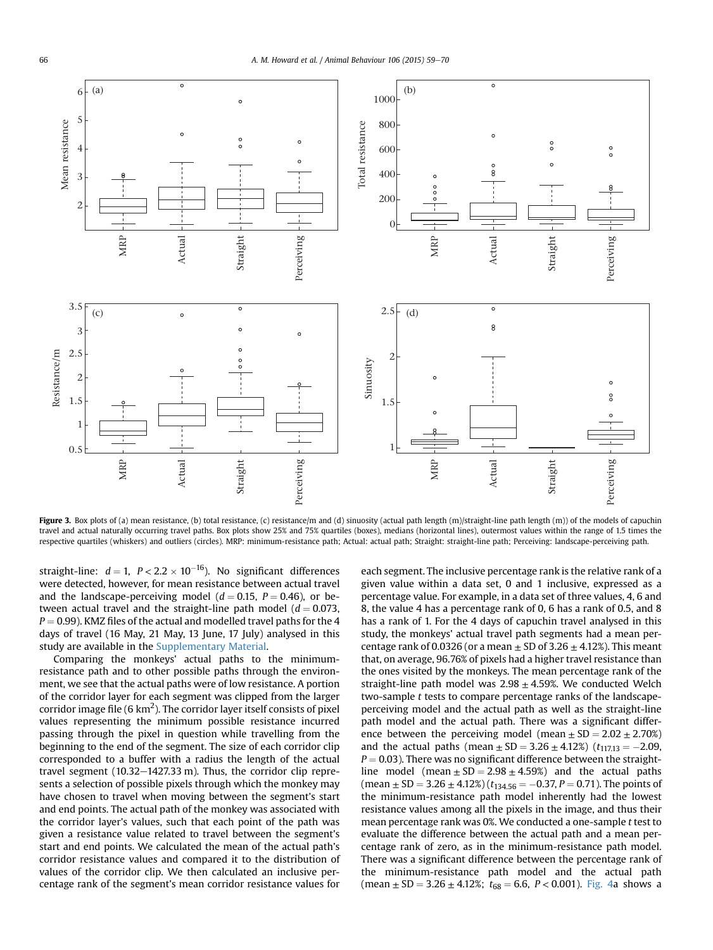<span id="page-7-0"></span>

Figure 3. Box plots of (a) mean resistance, (b) total resistance, (c) resistance/m and (d) sinuosity (actual path length (m)/straight-line path length (m)) of the models of capuchin travel and actual naturally occurring travel paths. Box plots show 25% and 75% quartiles (boxes), medians (horizontal lines), outermost values within the range of 1.5 times the respective quartiles (whiskers) and outliers (circles). MRP: minimum-resistance path; Actual: actual path; Straight: straight-line path; Perceiving: landscape-perceiving path.

straight-line:  $d = 1$ ,  $P < 2.2 \times 10^{-16}$ ). No significant differences were detected, however, for mean resistance between actual travel and the landscape-perceiving model ( $d = 0.15$ ,  $P = 0.46$ ), or between actual travel and the straight-line path model  $(d = 0.073,$  $P = 0.99$ ). KMZ files of the actual and modelled travel paths for the 4 days of travel (16 May, 21 May, 13 June, 17 July) analysed in this study are available in the Supplementary Material.

Comparing the monkeys' actual paths to the minimumresistance path and to other possible paths through the environment, we see that the actual paths were of low resistance. A portion of the corridor layer for each segment was clipped from the larger corridor image file (6  $\rm km^2$ ). The corridor layer itself consists of pixel values representing the minimum possible resistance incurred passing through the pixel in question while travelling from the beginning to the end of the segment. The size of each corridor clip corresponded to a buffer with a radius the length of the actual travel segment  $(10.32-1427.33 \text{ m})$ . Thus, the corridor clip represents a selection of possible pixels through which the monkey may have chosen to travel when moving between the segment's start and end points. The actual path of the monkey was associated with the corridor layer's values, such that each point of the path was given a resistance value related to travel between the segment's start and end points. We calculated the mean of the actual path's corridor resistance values and compared it to the distribution of values of the corridor clip. We then calculated an inclusive percentage rank of the segment's mean corridor resistance values for

each segment. The inclusive percentage rank is the relative rank of a given value within a data set, 0 and 1 inclusive, expressed as a percentage value. For example, in a data set of three values, 4, 6 and 8, the value 4 has a percentage rank of 0, 6 has a rank of 0.5, and 8 has a rank of 1. For the 4 days of capuchin travel analysed in this study, the monkeys' actual travel path segments had a mean percentage rank of 0.0326 (or a mean  $\pm$  SD of 3.26  $\pm$  4.12%). This meant that, on average, 96.76% of pixels had a higher travel resistance than the ones visited by the monkeys. The mean percentage rank of the straight-line path model was  $2.98 \pm 4.59$ %. We conducted Welch two-sample t tests to compare percentage ranks of the landscapeperceiving model and the actual path as well as the straight-line path model and the actual path. There was a significant difference between the perceiving model (mean  $\pm$  SD = 2.02  $\pm$  2.70%) and the actual paths (mean  $\pm$  SD = 3.26  $\pm$  4.12%) ( $t_{117,13}$  = -2.09,  $P = 0.03$ ). There was no significant difference between the straightline model (mean  $\pm$  SD = 2.98  $\pm$  4.59%) and the actual paths (mean  $\pm$  SD = 3.26  $\pm$  4.12%) ( $t_{134.56} = -0.37$ , P = 0.71). The points of the minimum-resistance path model inherently had the lowest resistance values among all the pixels in the image, and thus their mean percentage rank was 0%. We conducted a one-sample t test to evaluate the difference between the actual path and a mean percentage rank of zero, as in the minimum-resistance path model. There was a significant difference between the percentage rank of the minimum-resistance path model and the actual path (mean  $\pm$  SD = 3.26  $\pm$  4.12%;  $t_{68}$  = 6.6, P < 0.001). [Fig. 4](#page-8-0)a shows a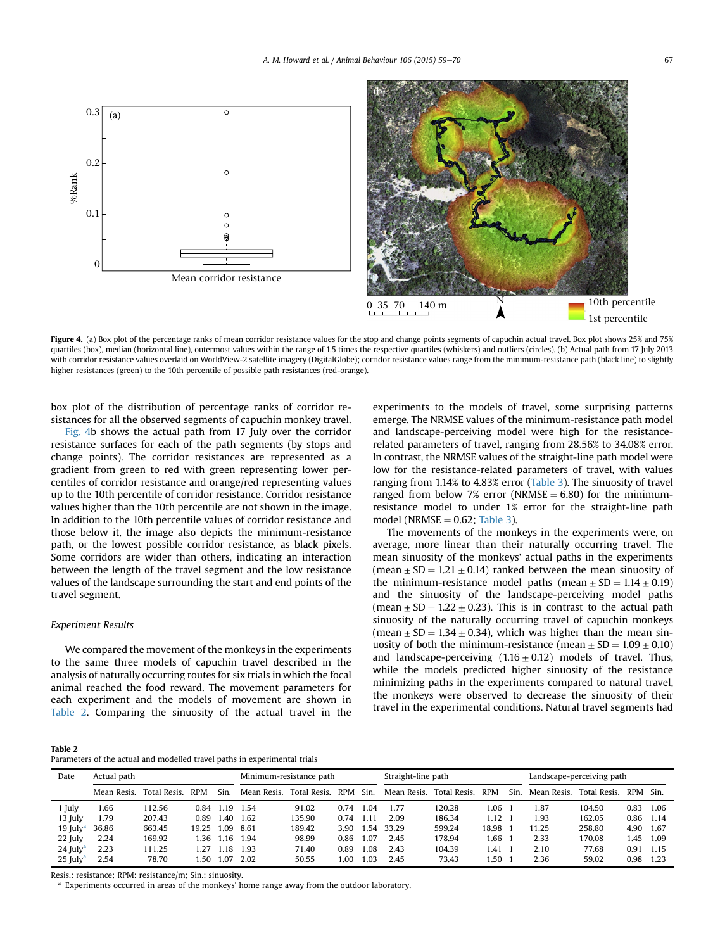<span id="page-8-0"></span>

Figure 4. (a) Box plot of the percentage ranks of mean corridor resistance values for the stop and change points segments of capuchin actual travel. Box plot shows 25% and 75% quartiles (box), median (horizontal line), outermost values within the range of 1.5 times the respective quartiles (whiskers) and outliers (circles). (b) Actual path from 17 July 2013 with corridor resistance values overlaid on WorldView-2 satellite imagery (DigitalGlobe); corridor resistance values range from the minimum-resistance path (black line) to slightly higher resistances (green) to the 10th percentile of possible path resistances (red-orange).

box plot of the distribution of percentage ranks of corridor resistances for all the observed segments of capuchin monkey travel.

Fig. 4b shows the actual path from 17 July over the corridor resistance surfaces for each of the path segments (by stops and change points). The corridor resistances are represented as a gradient from green to red with green representing lower percentiles of corridor resistance and orange/red representing values up to the 10th percentile of corridor resistance. Corridor resistance values higher than the 10th percentile are not shown in the image. In addition to the 10th percentile values of corridor resistance and those below it, the image also depicts the minimum-resistance path, or the lowest possible corridor resistance, as black pixels. Some corridors are wider than others, indicating an interaction between the length of the travel segment and the low resistance values of the landscape surrounding the start and end points of the travel segment.

## Experiment Results

We compared the movement of the monkeys in the experiments to the same three models of capuchin travel described in the analysis of naturally occurring routes for six trials in which the focal animal reached the food reward. The movement parameters for each experiment and the models of movement are shown in Table 2. Comparing the sinuosity of the actual travel in the experiments to the models of travel, some surprising patterns emerge. The NRMSE values of the minimum-resistance path model and landscape-perceiving model were high for the resistancerelated parameters of travel, ranging from 28.56% to 34.08% error. In contrast, the NRMSE values of the straight-line path model were low for the resistance-related parameters of travel, with values ranging from 1.14% to 4.83% error ([Table 3\)](#page-9-0). The sinuosity of travel ranged from below 7% error (NRMSE  $= 6.80$ ) for the minimumresistance model to under 1% error for the straight-line path model (NRMSE  $= 0.62$ ; [Table 3\)](#page-9-0).

The movements of the monkeys in the experiments were, on average, more linear than their naturally occurring travel. The mean sinuosity of the monkeys' actual paths in the experiments (mean  $\pm$  SD = 1.21  $\pm$  0.14) ranked between the mean sinuosity of the minimum-resistance model paths (mean  $\pm$  SD = 1.14  $\pm$  0.19) and the sinuosity of the landscape-perceiving model paths (mean  $\pm$  SD = 1.22  $\pm$  0.23). This is in contrast to the actual path sinuosity of the naturally occurring travel of capuchin monkeys (mean  $\pm$  SD = 1.34  $\pm$  0.34), which was higher than the mean sinuosity of both the minimum-resistance (mean  $\pm$  SD = 1.09  $\pm$  0.10) and landscape-perceiving  $(1.16 \pm 0.12)$  models of travel. Thus, while the models predicted higher sinuosity of the resistance minimizing paths in the experiments compared to natural travel, the monkeys were observed to decrease the sinuosity of their travel in the experimental conditions. Natural travel segments had

| Table 2                                                                   |
|---------------------------------------------------------------------------|
| Parameters of the actual and modelled travel paths in experimental trials |

| Date                   | Actual path |                     |            |      | Minimum-resistance path |              |            | Straight-line path |             |              |            | Landscape-perceiving path |             |              |      |      |
|------------------------|-------------|---------------------|------------|------|-------------------------|--------------|------------|--------------------|-------------|--------------|------------|---------------------------|-------------|--------------|------|------|
|                        | Mean Resis. | <b>Total Resis.</b> | <b>RPM</b> | Sin. | Mean Resis.             | Total Resis. | <b>RPM</b> | <b>Sin</b>         | Mean Resis. | Total Resis. | <b>RPM</b> | Sin.                      | Mean Resis. | Total Resis. | RPM  | Sin. |
| . July                 | 1.66        | 112.56              | 0.84       | 1.19 | 1.54                    | 91.02        | 0.74       | 1.04               | 1.77        | 120.28       | 1.06       |                           | . 87        | 104.50       | 0.83 | 1.06 |
| 13 July                | 1.79        | 207.43              | 0.89       | .40  | 1.62                    | 135.90       | 0.74       | 1.11               | 2.09        | 186.34       | 1.12       |                           | 1.93        | 162.05       | 0.86 | 1.14 |
| 19 $ $ ulv $^a$        | 36.86       | 663.45              | 19.25      | 1.09 | 8.61                    | 189.42       | 3.90       | 1.54               | 33.29       | 599.24       | 18.98      |                           | 11.25       | 258.80       | 4.90 | 1.67 |
| 22 July                | 2.24        | 169.92              | l.36       | 1.16 | 1.94                    | 98.99        | 0.86       | 1.07               | 2.45        | 178.94       | 1.66       |                           | 2.33        | 170.08       | l.45 | 1.09 |
| $24$ July <sup>a</sup> | 2.23        | 111.25              | 1.27       | 1.18 | 1.93                    | 71.40        | 0.89       | 1.08               | 2.43        | 104.39       | l.41       |                           | 2.10        | 77.68        | 0.91 | 1.15 |
| $25$ July <sup>a</sup> | 2.54        | 78.70               | 1.50       | 1.07 | 2.02                    | 50.55        | 1.00       | 1.03               | 2.45        | 73.43        | l.50       |                           | 2.36        | 59.02        | 0.98 | 1.23 |

Resis.: resistance; RPM: resistance/m; Sin.: sinuosity.

Experiments occurred in areas of the monkeys' home range away from the outdoor laboratory.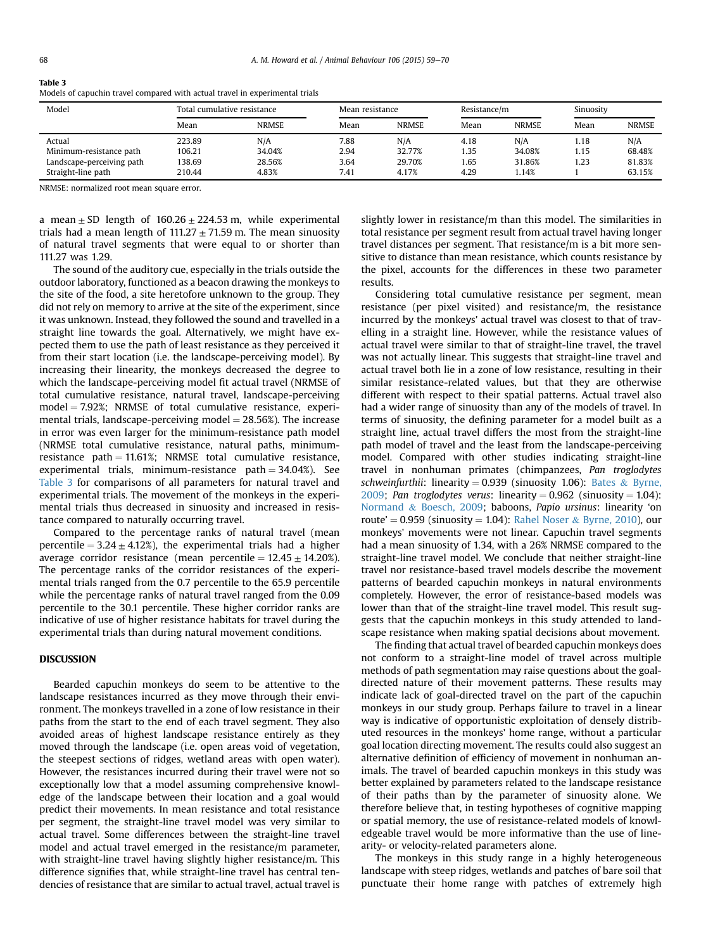<span id="page-9-0"></span>

| Table 3                                                                      |  |
|------------------------------------------------------------------------------|--|
| Models of capuchin travel compared with actual travel in experimental trials |  |

| Model                     | Total cumulative resistance |              | Mean resistance |              | Resistance/m |              | Sinuosity |              |  |
|---------------------------|-----------------------------|--------------|-----------------|--------------|--------------|--------------|-----------|--------------|--|
|                           | Mean                        | <b>NRMSE</b> | Mean            | <b>NRMSE</b> | Mean         | <b>NRMSE</b> | Mean      | <b>NRMSE</b> |  |
| Actual                    | 223.89                      | N/A          | 7.88            | N/A          | 4.18         | N/A          | 1.18      | N/A          |  |
| Minimum-resistance path   | 106.21                      | 34.04%       | 2.94            | 32.77%       | 1.35         | 34.08%       | 1.15      | 68.48%       |  |
| Landscape-perceiving path | 138.69                      | 28.56%       | 3.64            | 29.70%       | 1.65         | 31.86%       | 1.23      | 81.83%       |  |
| Straight-line path        | 210.44                      | 4.83%        | 7.41            | 4.17%        | 4.29         | 1.14%        |           | 63.15%       |  |

NRMSE: normalized root mean square error.

a mean  $\pm$  SD length of 160.26  $\pm$  224.53 m, while experimental trials had a mean length of  $111.27 \pm 71.59$  m. The mean sinuosity of natural travel segments that were equal to or shorter than 111.27 was 1.29.

The sound of the auditory cue, especially in the trials outside the outdoor laboratory, functioned as a beacon drawing the monkeys to the site of the food, a site heretofore unknown to the group. They did not rely on memory to arrive at the site of the experiment, since it was unknown. Instead, they followed the sound and travelled in a straight line towards the goal. Alternatively, we might have expected them to use the path of least resistance as they perceived it from their start location (i.e. the landscape-perceiving model). By increasing their linearity, the monkeys decreased the degree to which the landscape-perceiving model fit actual travel (NRMSE of total cumulative resistance, natural travel, landscape-perceiving  $model = 7.92\%$ ; NRMSE of total cumulative resistance, experimental trials, landscape-perceiving model  $=$  28.56%). The increase in error was even larger for the minimum-resistance path model (NRMSE total cumulative resistance, natural paths, minimumresistance  $path = 11.61\%$ ; NRMSE total cumulative resistance, experimental trials, minimum-resistance  $path = 34.04\%$ ). See Table 3 for comparisons of all parameters for natural travel and experimental trials. The movement of the monkeys in the experimental trials thus decreased in sinuosity and increased in resistance compared to naturally occurring travel.

Compared to the percentage ranks of natural travel (mean percentile =  $3.24 \pm 4.12\%$ ), the experimental trials had a higher average corridor resistance (mean percentile =  $12.45 \pm 14.20\%$ ). The percentage ranks of the corridor resistances of the experimental trials ranged from the 0.7 percentile to the 65.9 percentile while the percentage ranks of natural travel ranged from the 0.09 percentile to the 30.1 percentile. These higher corridor ranks are indicative of use of higher resistance habitats for travel during the experimental trials than during natural movement conditions.

## **DISCUSSION**

Bearded capuchin monkeys do seem to be attentive to the landscape resistances incurred as they move through their environment. The monkeys travelled in a zone of low resistance in their paths from the start to the end of each travel segment. They also avoided areas of highest landscape resistance entirely as they moved through the landscape (i.e. open areas void of vegetation, the steepest sections of ridges, wetland areas with open water). However, the resistances incurred during their travel were not so exceptionally low that a model assuming comprehensive knowledge of the landscape between their location and a goal would predict their movements. In mean resistance and total resistance per segment, the straight-line travel model was very similar to actual travel. Some differences between the straight-line travel model and actual travel emerged in the resistance/m parameter, with straight-line travel having slightly higher resistance/m. This difference signifies that, while straight-line travel has central tendencies of resistance that are similar to actual travel, actual travel is slightly lower in resistance/m than this model. The similarities in total resistance per segment result from actual travel having longer travel distances per segment. That resistance/m is a bit more sensitive to distance than mean resistance, which counts resistance by the pixel, accounts for the differences in these two parameter results.

Considering total cumulative resistance per segment, mean resistance (per pixel visited) and resistance/m, the resistance incurred by the monkeys' actual travel was closest to that of travelling in a straight line. However, while the resistance values of actual travel were similar to that of straight-line travel, the travel was not actually linear. This suggests that straight-line travel and actual travel both lie in a zone of low resistance, resulting in their similar resistance-related values, but that they are otherwise different with respect to their spatial patterns. Actual travel also had a wider range of sinuosity than any of the models of travel. In terms of sinuosity, the defining parameter for a model built as a straight line, actual travel differs the most from the straight-line path model of travel and the least from the landscape-perceiving model. Compared with other studies indicating straight-line travel in nonhuman primates (chimpanzees, Pan troglodytes schweinfurthii: linearity = 0.939 (sinuosity 1.06): [Bates](#page-10-0) & [Byrne,](#page-10-0) [2009](#page-10-0); Pan troglodytes verus: linearity =  $0.962$  (sinuosity = 1.04): [Normand](#page-11-0) & [Boesch, 2009;](#page-11-0) baboons, Papio ursinus: linearity 'on route' =  $0.959$  (sinuosity = 1.04): [Rahel Noser](#page-11-0) & [Byrne, 2010](#page-11-0)), our monkeys' movements were not linear. Capuchin travel segments had a mean sinuosity of 1.34, with a 26% NRMSE compared to the straight-line travel model. We conclude that neither straight-line travel nor resistance-based travel models describe the movement patterns of bearded capuchin monkeys in natural environments completely. However, the error of resistance-based models was lower than that of the straight-line travel model. This result suggests that the capuchin monkeys in this study attended to landscape resistance when making spatial decisions about movement.

The finding that actual travel of bearded capuchin monkeys does not conform to a straight-line model of travel across multiple methods of path segmentation may raise questions about the goaldirected nature of their movement patterns. These results may indicate lack of goal-directed travel on the part of the capuchin monkeys in our study group. Perhaps failure to travel in a linear way is indicative of opportunistic exploitation of densely distributed resources in the monkeys' home range, without a particular goal location directing movement. The results could also suggest an alternative definition of efficiency of movement in nonhuman animals. The travel of bearded capuchin monkeys in this study was better explained by parameters related to the landscape resistance of their paths than by the parameter of sinuosity alone. We therefore believe that, in testing hypotheses of cognitive mapping or spatial memory, the use of resistance-related models of knowledgeable travel would be more informative than the use of linearity- or velocity-related parameters alone.

The monkeys in this study range in a highly heterogeneous landscape with steep ridges, wetlands and patches of bare soil that punctuate their home range with patches of extremely high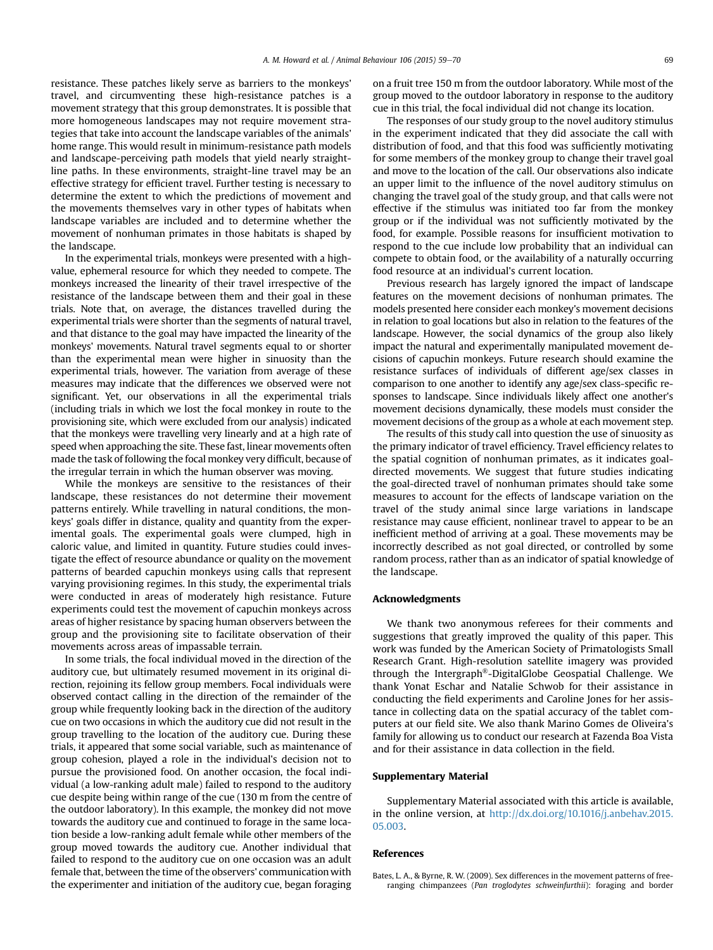<span id="page-10-0"></span>resistance. These patches likely serve as barriers to the monkeys' travel, and circumventing these high-resistance patches is a movement strategy that this group demonstrates. It is possible that more homogeneous landscapes may not require movement strategies that take into account the landscape variables of the animals' home range. This would result in minimum-resistance path models and landscape-perceiving path models that yield nearly straightline paths. In these environments, straight-line travel may be an effective strategy for efficient travel. Further testing is necessary to determine the extent to which the predictions of movement and the movements themselves vary in other types of habitats when landscape variables are included and to determine whether the movement of nonhuman primates in those habitats is shaped by the landscape.

In the experimental trials, monkeys were presented with a highvalue, ephemeral resource for which they needed to compete. The monkeys increased the linearity of their travel irrespective of the resistance of the landscape between them and their goal in these trials. Note that, on average, the distances travelled during the experimental trials were shorter than the segments of natural travel, and that distance to the goal may have impacted the linearity of the monkeys' movements. Natural travel segments equal to or shorter than the experimental mean were higher in sinuosity than the experimental trials, however. The variation from average of these measures may indicate that the differences we observed were not significant. Yet, our observations in all the experimental trials (including trials in which we lost the focal monkey in route to the provisioning site, which were excluded from our analysis) indicated that the monkeys were travelling very linearly and at a high rate of speed when approaching the site. These fast, linear movements often made the task of following the focal monkey very difficult, because of the irregular terrain in which the human observer was moving.

While the monkeys are sensitive to the resistances of their landscape, these resistances do not determine their movement patterns entirely. While travelling in natural conditions, the monkeys' goals differ in distance, quality and quantity from the experimental goals. The experimental goals were clumped, high in caloric value, and limited in quantity. Future studies could investigate the effect of resource abundance or quality on the movement patterns of bearded capuchin monkeys using calls that represent varying provisioning regimes. In this study, the experimental trials were conducted in areas of moderately high resistance. Future experiments could test the movement of capuchin monkeys across areas of higher resistance by spacing human observers between the group and the provisioning site to facilitate observation of their movements across areas of impassable terrain.

In some trials, the focal individual moved in the direction of the auditory cue, but ultimately resumed movement in its original direction, rejoining its fellow group members. Focal individuals were observed contact calling in the direction of the remainder of the group while frequently looking back in the direction of the auditory cue on two occasions in which the auditory cue did not result in the group travelling to the location of the auditory cue. During these trials, it appeared that some social variable, such as maintenance of group cohesion, played a role in the individual's decision not to pursue the provisioned food. On another occasion, the focal individual (a low-ranking adult male) failed to respond to the auditory cue despite being within range of the cue (130 m from the centre of the outdoor laboratory). In this example, the monkey did not move towards the auditory cue and continued to forage in the same location beside a low-ranking adult female while other members of the group moved towards the auditory cue. Another individual that failed to respond to the auditory cue on one occasion was an adult female that, between the time of the observers' communication with the experimenter and initiation of the auditory cue, began foraging on a fruit tree 150 m from the outdoor laboratory. While most of the group moved to the outdoor laboratory in response to the auditory cue in this trial, the focal individual did not change its location.

The responses of our study group to the novel auditory stimulus in the experiment indicated that they did associate the call with distribution of food, and that this food was sufficiently motivating for some members of the monkey group to change their travel goal and move to the location of the call. Our observations also indicate an upper limit to the influence of the novel auditory stimulus on changing the travel goal of the study group, and that calls were not effective if the stimulus was initiated too far from the monkey group or if the individual was not sufficiently motivated by the food, for example. Possible reasons for insufficient motivation to respond to the cue include low probability that an individual can compete to obtain food, or the availability of a naturally occurring food resource at an individual's current location.

Previous research has largely ignored the impact of landscape features on the movement decisions of nonhuman primates. The models presented here consider each monkey's movement decisions in relation to goal locations but also in relation to the features of the landscape. However, the social dynamics of the group also likely impact the natural and experimentally manipulated movement decisions of capuchin monkeys. Future research should examine the resistance surfaces of individuals of different age/sex classes in comparison to one another to identify any age/sex class-specific responses to landscape. Since individuals likely affect one another's movement decisions dynamically, these models must consider the movement decisions of the group as a whole at each movement step.

The results of this study call into question the use of sinuosity as the primary indicator of travel efficiency. Travel efficiency relates to the spatial cognition of nonhuman primates, as it indicates goaldirected movements. We suggest that future studies indicating the goal-directed travel of nonhuman primates should take some measures to account for the effects of landscape variation on the travel of the study animal since large variations in landscape resistance may cause efficient, nonlinear travel to appear to be an inefficient method of arriving at a goal. These movements may be incorrectly described as not goal directed, or controlled by some random process, rather than as an indicator of spatial knowledge of the landscape.

## Acknowledgments

We thank two anonymous referees for their comments and suggestions that greatly improved the quality of this paper. This work was funded by the American Society of Primatologists Small Research Grant. High-resolution satellite imagery was provided through the Intergraph®-DigitalGlobe Geospatial Challenge. We thank Yonat Eschar and Natalie Schwob for their assistance in conducting the field experiments and Caroline Jones for her assistance in collecting data on the spatial accuracy of the tablet computers at our field site. We also thank Marino Gomes de Oliveira's family for allowing us to conduct our research at Fazenda Boa Vista and for their assistance in data collection in the field.

## Supplementary Material

Supplementary Material associated with this article is available, in the online version, at [http://dx.doi.org/10.1016/j.anbehav.2015.](http://dx.doi.org/10.1016/j.anbehav.2015.05.003) [05.003](http://dx.doi.org/10.1016/j.anbehav.2015.05.003).

#### References

Bates, L. A., & Byrne, R. W. (2009). Sex differences in the movement patterns of freeranging chimpanzees (Pan troglodytes schweinfurthii): foraging and border